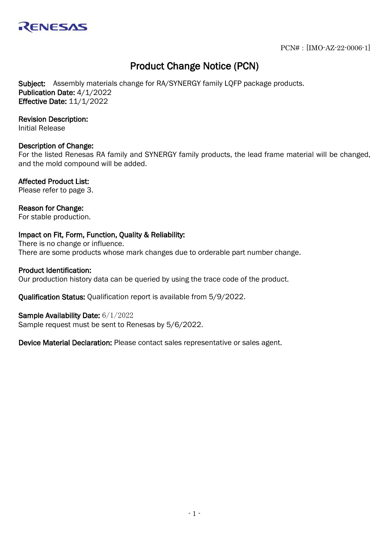

# Product Change Notice (PCN)

Subject: Assembly materials change for RA/SYNERGY family LOFP package products. Publication Date: 4/1/2022 Effective Date: 11/1/2022

## Revision Description:

Initial Release

### Description of Change:

For the listed Renesas RA family and SYNERGY family products, the lead frame material will be changed, and the mold compound will be added.

### Affected Product List:

Please refer to page 3.

## Reason for Change:

For stable production.

## Impact on Fit, Form, Function, Quality & Reliability:

There is no change or influence. There are some products whose mark changes due to orderable part number change.

## Product Identification:

Our production history data can be queried by using the trace code of the product.

Qualification Status: Qualification report is available from 5/9/2022.

### Sample Availability Date: 6/1/2022

Sample request must be sent to Renesas by 5/6/2022.

Device Material Declaration: Please contact sales representative or sales agent.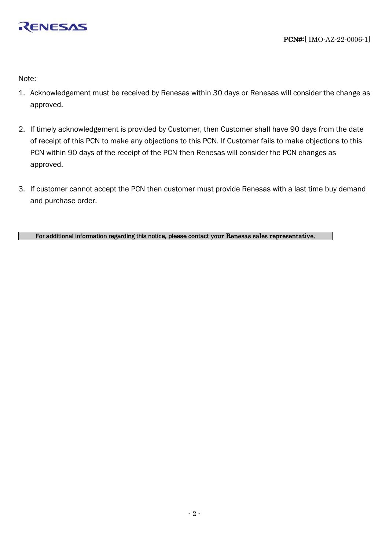

Note:

- 1. Acknowledgement must be received by Renesas within 30 days or Renesas will consider the change as approved.
- 2. If timely acknowledgement is provided by Customer, then Customer shall have 90 days from the date of receipt of this PCN to make any objections to this PCN. If Customer fails to make objections to this PCN within 90 days of the receipt of the PCN then Renesas will consider the PCN changes as approved.
- 3. If customer cannot accept the PCN then customer must provide Renesas with a last time buy demand and purchase order.

For additional information regarding this notice, please contact your Renesas sales representative.